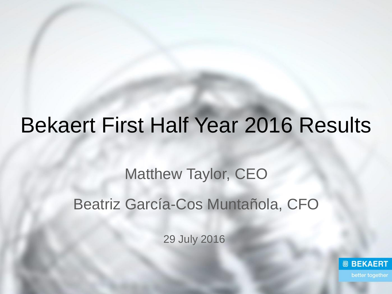# Bekaert First Half Year 2016 Results

# Matthew Taylor, CEO Beatriz García-Cos Muntañola, CFO

29 July 2016

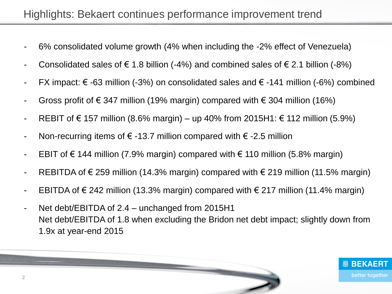### Highlights: Bekaert continues performance improvement trend

- 6% consolidated volume growth (4% when including the -2% effect of Venezuela)
- Consolidated sales of  $\epsilon$  1.8 billion (-4%) and combined sales of  $\epsilon$  2.1 billion (-8%)
- FX impact:  $\epsilon$  -63 million (-3%) on consolidated sales and  $\epsilon$  -141 million (-6%) combined
- Gross profit of  $\epsilon$  347 million (19% margin) compared with  $\epsilon$  304 million (16%)
- REBIT of € 157 million (8.6% margin) up 40% from 2015H1: € 112 million (5.9%)
- Non-recurring items of  $\epsilon$  -13.7 million compared with  $\epsilon$  -2.5 million
- EBIT of € 144 million (7.9% margin) compared with  $\epsilon$  110 million (5.8% margin)
- REBITDA of  $\epsilon$  259 million (14.3% margin) compared with  $\epsilon$  219 million (11.5% margin)
- EBITDA of € 242 million (13.3% margin) compared with  $∈$  217 million (11.4% margin)
- Net debt/EBITDA of 2.4 unchanged from 2015H1 Net debt/EBITDA of 1.8 when excluding the Bridon net debt impact; slightly down from 1.9x at year-end 2015



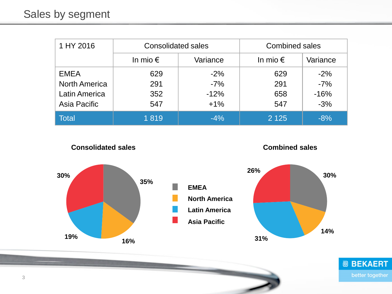| 1 HY 2016            | <b>Consolidated sales</b> |          | <b>Combined sales</b> |          |
|----------------------|---------------------------|----------|-----------------------|----------|
|                      | In mio $\epsilon$         | Variance | In mio $\epsilon$     | Variance |
| <b>EMEA</b>          | 629                       | $-2\%$   | 629                   | $-2%$    |
| <b>North America</b> | 291                       | $-7%$    | 291                   | $-7%$    |
| <b>Latin America</b> | 352                       | $-12%$   | 658                   | $-16%$   |
| Asia Pacific         | 547                       | $+1\%$   | 547                   | $-3%$    |
| <b>Total</b>         | 1819                      | $-4%$    | 2 1 2 5               | $-8%$    |



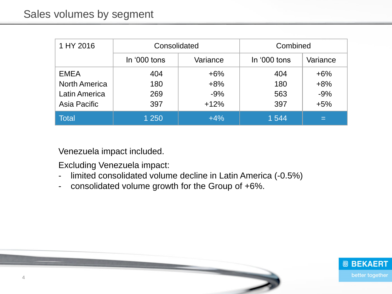| 1 HY 2016            | Consolidated |          | Combined     |          |
|----------------------|--------------|----------|--------------|----------|
|                      | In '000 tons | Variance | In '000 tons | Variance |
| <b>EMEA</b>          | 404          | $+6%$    | 404          | $+6%$    |
| <b>North America</b> | 180          | $+8%$    | 180          | $+8%$    |
| <b>Latin America</b> | 269          | $-9%$    | 563          | $-9%$    |
| Asia Pacific         | 397          | $+12%$   | 397          | $+5%$    |
| <b>Total</b>         | 1 250        | $+4%$    | 1 544        | ▬        |

Venezuela impact included.

Excluding Venezuela impact:

- limited consolidated volume decline in Latin America (-0.5%)
- consolidated volume growth for the Group of +6%.

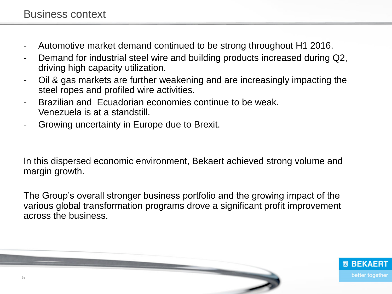- Automotive market demand continued to be strong throughout H1 2016.
- Demand for industrial steel wire and building products increased during Q2, driving high capacity utilization.
- Oil & gas markets are further weakening and are increasingly impacting the steel ropes and profiled wire activities.
- Brazilian and Fcuadorian economies continue to be weak. Venezuela is at a standstill.
- Growing uncertainty in Europe due to Brexit.

In this dispersed economic environment, Bekaert achieved strong volume and margin growth.

The Group's overall stronger business portfolio and the growing impact of the various global transformation programs drove a significant profit improvement across the business.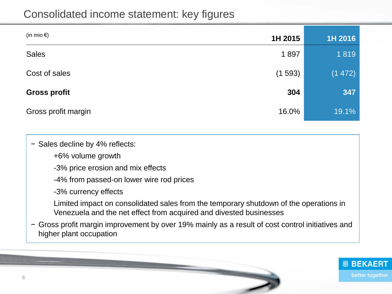| (in mio $\epsilon$ ) | 1H 2015 | 1H 2016 |
|----------------------|---------|---------|
| <b>Sales</b>         | 1897    | 1819    |
| Cost of sales        | (1593)  | (1 472) |
| <b>Gross profit</b>  | 304     | 347     |
| Gross profit margin  | 16.0%   | 19.1%   |

− Sales decline by 4% reflects:

+6% volume growth

-3% price erosion and mix effects

-4% from passed-on lower wire rod prices

-3% currency effects

Limited impact on consolidated sales from the temporary shutdown of the operations in Venezuela and the net effect from acquired and divested businesses

− Gross profit margin improvement by over 19% mainly as a result of cost control initiatives and higher plant occupation

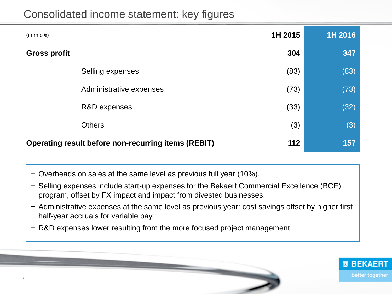| 1H 2015<br>(in mio $\epsilon$ )                                   | 1H 2016 |
|-------------------------------------------------------------------|---------|
| 304<br><b>Gross profit</b>                                        | 347     |
| (83)<br>Selling expenses                                          | (83)    |
| (73)<br>Administrative expenses                                   | (73)    |
| (33)<br>R&D expenses                                              | (32)    |
| (3)<br><b>Others</b>                                              | (3)     |
| 112<br><b>Operating result before non-recurring items (REBIT)</b> | 157     |

- − Overheads on sales at the same level as previous full year (10%).
- − Selling expenses include start-up expenses for the Bekaert Commercial Excellence (BCE) program, offset by FX impact and impact from divested businesses.
- − Administrative expenses at the same level as previous year: cost savings offset by higher first half-year accruals for variable pay.
- − R&D expenses lower resulting from the more focused project management.

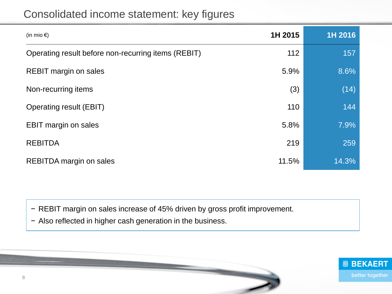| (in mio $\epsilon$ )                                | 1H 2015 | 1H 2016 |
|-----------------------------------------------------|---------|---------|
| Operating result before non-recurring items (REBIT) | 112     | 157     |
| <b>REBIT margin on sales</b>                        | 5.9%    | 8.6%    |
| Non-recurring items                                 | (3)     | (14)    |
| <b>Operating result (EBIT)</b>                      | 110     | 144     |
| <b>EBIT margin on sales</b>                         | 5.8%    | 7.9%    |
| <b>REBITDA</b>                                      | 219     | 259     |
| <b>REBITDA</b> margin on sales                      | 11.5%   | 14.3%   |

− REBIT margin on sales increase of 45% driven by gross profit improvement.

− Also reflected in higher cash generation in the business.

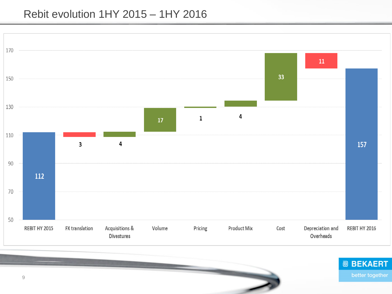#### Rebit evolution 1HY 2015 – 1HY 2016



9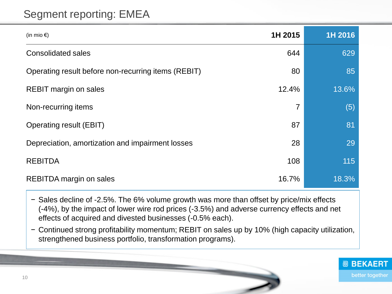### Segment reporting: EMEA

| (in mio $\epsilon$ )                                | 1H 2015 | 1H 2016 |
|-----------------------------------------------------|---------|---------|
| <b>Consolidated sales</b>                           | 644     | 629     |
| Operating result before non-recurring items (REBIT) | 80      | 85      |
| <b>REBIT margin on sales</b>                        | 12.4%   | 13.6%   |
| Non-recurring items                                 | 7       | (5)     |
| <b>Operating result (EBIT)</b>                      | 87      | 81      |
| Depreciation, amortization and impairment losses    | 28      | 29      |
| <b>REBITDA</b>                                      | 108     | 115     |
| <b>REBITDA</b> margin on sales                      | 16.7%   | 18.3%   |

− Sales decline of -2.5%. The 6% volume growth was more than offset by price/mix effects (-4%), by the impact of lower wire rod prices (-3.5%) and adverse currency effects and net effects of acquired and divested businesses (-0.5% each).

− Continued strong profitability momentum; REBIT on sales up by 10% (high capacity utilization, strengthened business portfolio, transformation programs).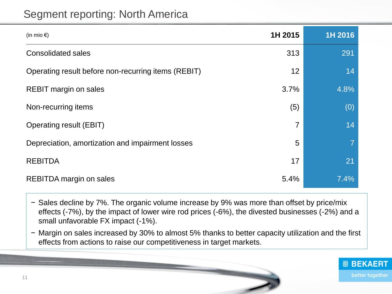#### Segment reporting: North America

| (in mio $\epsilon$ )                                | 1H 2015 | 1H 2016 |
|-----------------------------------------------------|---------|---------|
| <b>Consolidated sales</b>                           | 313     | 291     |
| Operating result before non-recurring items (REBIT) | 12      | 14      |
| <b>REBIT margin on sales</b>                        | 3.7%    | 4.8%    |
| Non-recurring items                                 | (5)     | (0)     |
| <b>Operating result (EBIT)</b>                      | 7       | 14      |
| Depreciation, amortization and impairment losses    | 5       |         |
| <b>REBITDA</b>                                      | 17      | 21      |
| REBITDA margin on sales                             | 5.4%    | 7.4%    |

− Sales decline by 7%. The organic volume increase by 9% was more than offset by price/mix effects (-7%), by the impact of lower wire rod prices (-6%), the divested businesses (-2%) and a small unfavorable FX impact (-1%).

− Margin on sales increased by 30% to almost 5% thanks to better capacity utilization and the first effects from actions to raise our competitiveness in target markets.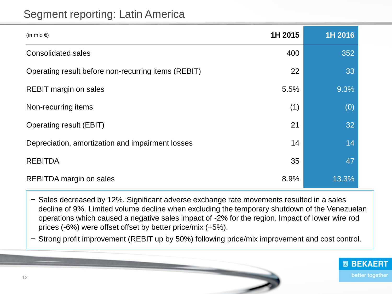### Segment reporting: Latin America

| (in mio $\epsilon$ )                                | 1H 2015 | 1H 2016  |
|-----------------------------------------------------|---------|----------|
| <b>Consolidated sales</b>                           | 400     | 352      |
| Operating result before non-recurring items (REBIT) | 22      | 33       |
| <b>REBIT margin on sales</b>                        | 5.5%    | 9.3%     |
| Non-recurring items                                 | (1)     | (0)      |
| <b>Operating result (EBIT)</b>                      | 21      | 32       |
| Depreciation, amortization and impairment losses    | 14      | 14       |
| <b>REBITDA</b>                                      | 35      | 47       |
| REBITDA margin on sales                             | 8.9%    | $13.3\%$ |

− Sales decreased by 12%. Significant adverse exchange rate movements resulted in a sales decline of 9%. Limited volume decline when excluding the temporary shutdown of the Venezuelan operations which caused a negative sales impact of -2% for the region. Impact of lower wire rod prices (-6%) were offset offset by better price/mix (+5%).

− Strong profit improvement (REBIT up by 50%) following price/mix improvement and cost control.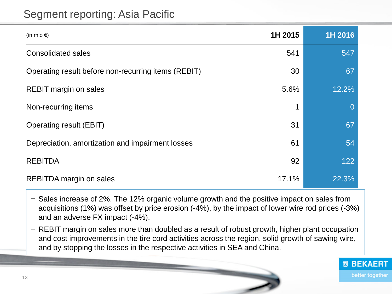#### Segment reporting: Asia Pacific

| (in mio $\epsilon$ )                                | 1H 2015 | 1H 2016  |
|-----------------------------------------------------|---------|----------|
| <b>Consolidated sales</b>                           | 541     | 547      |
| Operating result before non-recurring items (REBIT) | 30      | 67       |
| <b>REBIT margin on sales</b>                        | 5.6%    | 12.2%    |
| Non-recurring items                                 | 1       | $\Omega$ |
| Operating result (EBIT)                             | 31      | 67       |
| Depreciation, amortization and impairment losses    | 61      | 54       |
| <b>REBITDA</b>                                      | 92      | 122      |
| <b>REBITDA</b> margin on sales                      | 17.1%   | 22.3%    |

− Sales increase of 2%. The 12% organic volume growth and the positive impact on sales from acquisitions (1%) was offset by price erosion (-4%), by the impact of lower wire rod prices (-3%) and an adverse FX impact (-4%).

− REBIT margin on sales more than doubled as a result of robust growth, higher plant occupation and cost improvements in the tire cord activities across the region, solid growth of sawing wire, and by stopping the losses in the respective activities in SEA and China.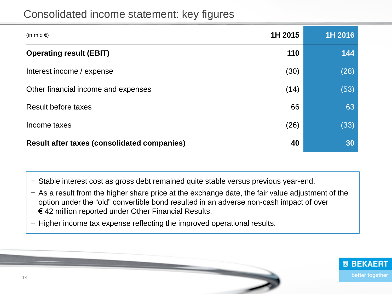| (in mio $\epsilon$ )                               | 1H 2015 | 1H 2016 |
|----------------------------------------------------|---------|---------|
| <b>Operating result (EBIT)</b>                     | 110     | 144     |
| Interest income / expense                          | (30)    | (28)    |
| Other financial income and expenses                | (14)    | (53)    |
| Result before taxes                                | 66      | 63      |
| Income taxes                                       | (26)    | (33)    |
| <b>Result after taxes (consolidated companies)</b> | 40      | 30      |

− Stable interest cost as gross debt remained quite stable versus previous year-end.

- − As a result from the higher share price at the exchange date, the fair value adjustment of the option under the "old" convertible bond resulted in an adverse non-cash impact of over € 42 million reported under Other Financial Results.
- − Higher income tax expense reflecting the improved operational results.

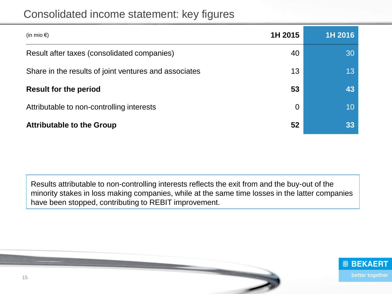| (in mio $\epsilon$ )                                  | 1H 2015        | 1H 2016 |
|-------------------------------------------------------|----------------|---------|
| Result after taxes (consolidated companies)           | 40             | 30      |
| Share in the results of joint ventures and associates | 13             | 13      |
| <b>Result for the period</b>                          | 53             | 43      |
| Attributable to non-controlling interests             | $\overline{0}$ | 10      |
| <b>Attributable to the Group</b>                      | 52             | 33      |

Results attributable to non-controlling interests reflects the exit from and the buy-out of the minority stakes in loss making companies, while at the same time losses in the latter companies have been stopped, contributing to REBIT improvement.

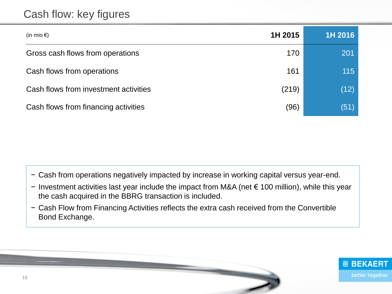#### Cash flow: key figures

| (in mio $\epsilon$ )                  | 1H 2015 | 1H 2016 |
|---------------------------------------|---------|---------|
| Gross cash flows from operations      | 170     | 201     |
| Cash flows from operations            | 161     | 115     |
| Cash flows from investment activities | (219)   | (12)    |
| Cash flows from financing activities  | (96)    | (51)    |

− Cash from operations negatively impacted by increase in working capital versus year-end.

- − Investment activities last year include the impact from M&A (net € 100 million), while this year the cash acquired in the BBRG transaction is included.
- − Cash Flow from Financing Activities reflects the extra cash received from the Convertible Bond Exchange.

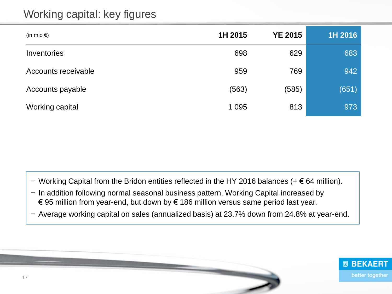## Working capital: key figures

| (in mio $\epsilon$ ) | 1H 2015 | <b>YE 2015</b> | 1H 2016 |
|----------------------|---------|----------------|---------|
| Inventories          | 698     | 629            | 683     |
| Accounts receivable  | 959     | 769            | 942     |
| Accounts payable     | (563)   | (585)          | (651)   |
| Working capital      | 1 0 9 5 | 813            | 973     |

− Working Capital from the Bridon entities reflected in the HY 2016 balances (+ € 64 million).

- − In addition following normal seasonal business pattern, Working Capital increased by € 95 million from year-end, but down by € 186 million versus same period last year.
- − Average working capital on sales (annualized basis) at 23.7% down from 24.8% at year-end.

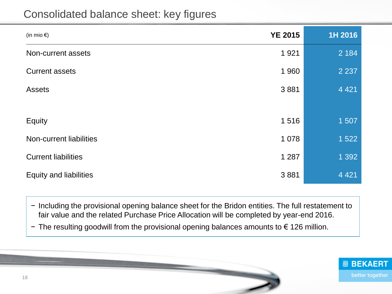#### Consolidated balance sheet: key figures

| (in mio $\epsilon$ )          | <b>YE 2015</b> | 1H 2016 |
|-------------------------------|----------------|---------|
| Non-current assets            | 1 9 2 1        | 2 1 8 4 |
| <b>Current assets</b>         | 1 960          | 2 2 3 7 |
| <b>Assets</b>                 | 3881           | 4 4 2 1 |
|                               |                |         |
| Equity                        | 1516           | 1507    |
| Non-current liabilities       | 1 0 7 8        | 1522    |
| <b>Current liabilities</b>    | 1 2 8 7        | 1 3 9 2 |
| <b>Equity and liabilities</b> | 3881           | 4 4 2 1 |

− Including the provisional opening balance sheet for the Bridon entities. The full restatement to fair value and the related Purchase Price Allocation will be completed by year-end 2016.

− The resulting goodwill from the provisional opening balances amounts to € 126 million.

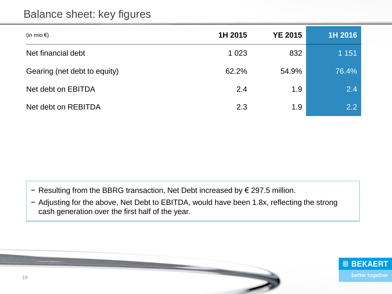#### Balance sheet: key figures

| (in mio $\epsilon$ )         | 1H 2015 | <b>YE 2015</b> | 1H 2016 |
|------------------------------|---------|----------------|---------|
| Net financial debt           | 1 0 2 3 | 832            | 1 1 5 1 |
| Gearing (net debt to equity) | 62.2%   | 54.9%          | 76.4%   |
| Net debt on EBITDA           | 2.4     | 1.9            | 2.4     |
| Net debt on REBITDA          | 2.3     | 1.9            | 2.2     |

- − Resulting from the BBRG transaction, Net Debt increased by € 297.5 million.
- − Adjusting for the above, Net Debt to EBITDA, would have been 1.8x, reflecting the strong cash generation over the first half of the year.

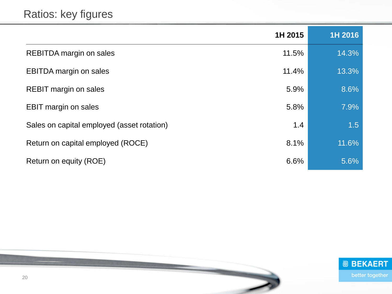| 1H 2015                                    |     | 1H 2016 |
|--------------------------------------------|-----|---------|
| REBITDA margin on sales<br>11.5%           |     | 14.3%   |
| 11.4%<br><b>EBITDA</b> margin on sales     |     | 13.3%   |
| 5.9%<br><b>REBIT margin on sales</b>       |     | 8.6%    |
| 5.8%<br><b>EBIT margin on sales</b>        |     | 7.9%    |
| Sales on capital employed (asset rotation) | 1.4 | 1.5     |
| 8.1%<br>Return on capital employed (ROCE)  |     | 11.6%   |
| 6.6%<br>Return on equity (ROE)             |     | 5.6%    |

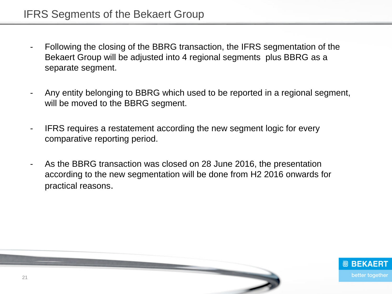- Following the closing of the BBRG transaction, the IFRS segmentation of the Bekaert Group will be adjusted into 4 regional segments plus BBRG as a separate segment.
- Any entity belonging to BBRG which used to be reported in a regional segment, will be moved to the BBRG segment.
- IFRS requires a restatement according the new segment logic for every comparative reporting period.
- As the BBRG transaction was closed on 28 June 2016, the presentation according to the new segmentation will be done from H2 2016 onwards for practical reasons.

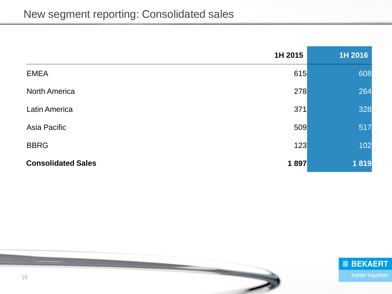|                           | 1H 2015 | 1H 2016 |
|---------------------------|---------|---------|
| <b>EMEA</b>               | 615     | 608     |
| <b>North America</b>      | 278     | 264     |
| <b>Latin America</b>      | 371     | 328     |
| Asia Pacific              | 509     | 517     |
| <b>BBRG</b>               | 123     | 102     |
| <b>Consolidated Sales</b> | 1897    | 1819    |

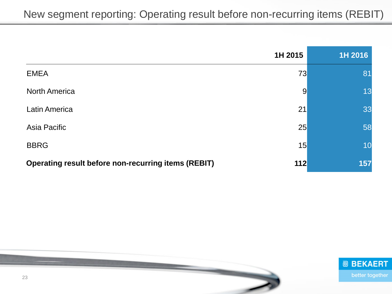|                                                            | 1H 2015        | 1H 2016 |
|------------------------------------------------------------|----------------|---------|
| <b>EMEA</b>                                                | 73             | 81      |
| <b>North America</b>                                       | $\overline{9}$ | 13      |
| <b>Latin America</b>                                       | 21             | 33      |
| Asia Pacific                                               | 25             | 58      |
| <b>BBRG</b>                                                | 15             | 10      |
| <b>Operating result before non-recurring items (REBIT)</b> | 112            | 157     |



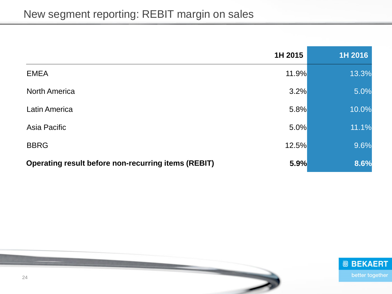|                                                     | 1H 2015 | 1H 2016 |
|-----------------------------------------------------|---------|---------|
| <b>EMEA</b>                                         | 11.9%   | 13.3%   |
| <b>North America</b>                                | 3.2%    | 5.0%    |
| <b>Latin America</b>                                | 5.8%    | 10.0%   |
| Asia Pacific                                        | 5.0%    | 11.1%   |
| <b>BBRG</b>                                         | 12.5%   | 9.6%    |
| Operating result before non-recurring items (REBIT) | 5.9%    | 8.6%    |



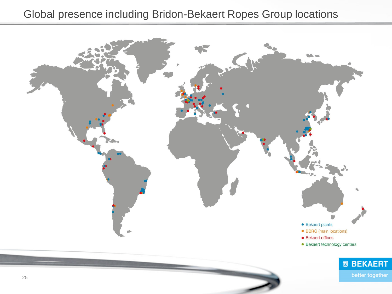#### Global presence including Bridon-Bekaert Ropes Group locations

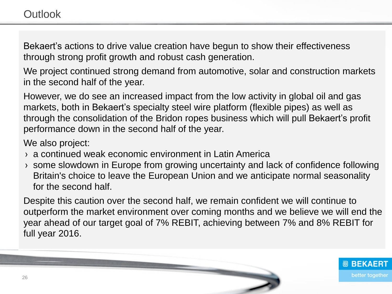Bekaert's actions to drive value creation have begun to show their effectiveness through strong profit growth and robust cash generation.

We project continued strong demand from automotive, solar and construction markets in the second half of the year.

However, we do see an increased impact from the low activity in global oil and gas markets, both in Bekaert's specialty steel wire platform (flexible pipes) as well as through the consolidation of the Bridon ropes business which will pull Bekaert's profit performance down in the second half of the year.

We also project:

- › a continued weak economic environment in Latin America
- › some slowdown in Europe from growing uncertainty and lack of confidence following Britain's choice to leave the European Union and we anticipate normal seasonality for the second half.

Despite this caution over the second half, we remain confident we will continue to outperform the market environment over coming months and we believe we will end the year ahead of our target goal of 7% REBIT, achieving between 7% and 8% REBIT for full year 2016.

> **@ BEKAERT** better together